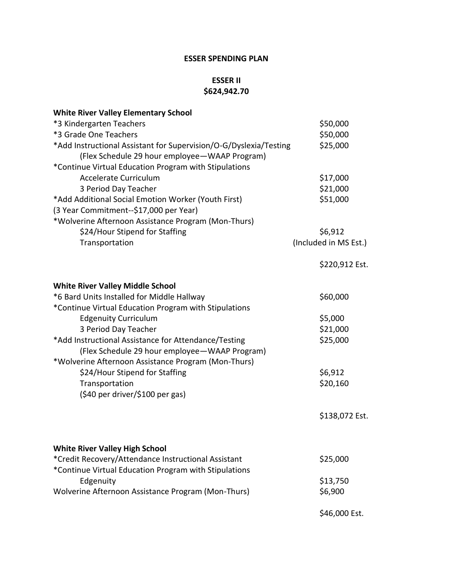## **ESSER SPENDING PLAN**

## **ESSER II \$624,942.70**

| <b>White River Valley Elementary School</b>                                                                        |                       |
|--------------------------------------------------------------------------------------------------------------------|-----------------------|
| *3 Kindergarten Teachers                                                                                           | \$50,000              |
| *3 Grade One Teachers                                                                                              | \$50,000              |
| *Add Instructional Assistant for Supervision/O-G/Dyslexia/Testing<br>(Flex Schedule 29 hour employee-WAAP Program) | \$25,000              |
| *Continue Virtual Education Program with Stipulations                                                              |                       |
| Accelerate Curriculum                                                                                              | \$17,000              |
| 3 Period Day Teacher                                                                                               | \$21,000<br>\$51,000  |
| *Add Additional Social Emotion Worker (Youth First)<br>(3 Year Commitment--\$17,000 per Year)                      |                       |
| *Wolverine Afternoon Assistance Program (Mon-Thurs)                                                                |                       |
| \$24/Hour Stipend for Staffing                                                                                     | \$6,912               |
|                                                                                                                    | (Included in MS Est.) |
| Transportation                                                                                                     |                       |
|                                                                                                                    | \$220,912 Est.        |
| <b>White River Valley Middle School</b>                                                                            |                       |
| *6 Bard Units Installed for Middle Hallway<br>*Continue Virtual Education Program with Stipulations                | \$60,000              |
| <b>Edgenuity Curriculum</b>                                                                                        | \$5,000               |
| 3 Period Day Teacher                                                                                               | \$21,000              |
| *Add Instructional Assistance for Attendance/Testing                                                               | \$25,000              |
| (Flex Schedule 29 hour employee - WAAP Program)                                                                    |                       |
| *Wolverine Afternoon Assistance Program (Mon-Thurs)                                                                |                       |
| \$24/Hour Stipend for Staffing                                                                                     | \$6,912               |
| Transportation                                                                                                     | \$20,160              |
| (\$40 per driver/\$100 per gas)                                                                                    |                       |
|                                                                                                                    | \$138,072 Est.        |
|                                                                                                                    |                       |
| <b>White River Valley High School</b>                                                                              |                       |
| *Credit Recovery/Attendance Instructional Assistant<br>*Continue Virtual Education Program with Stipulations       | \$25,000              |
| Edgenuity                                                                                                          | \$13,750              |
| Wolverine Afternoon Assistance Program (Mon-Thurs)                                                                 | \$6,900               |
|                                                                                                                    |                       |
|                                                                                                                    | \$46,000 Est.         |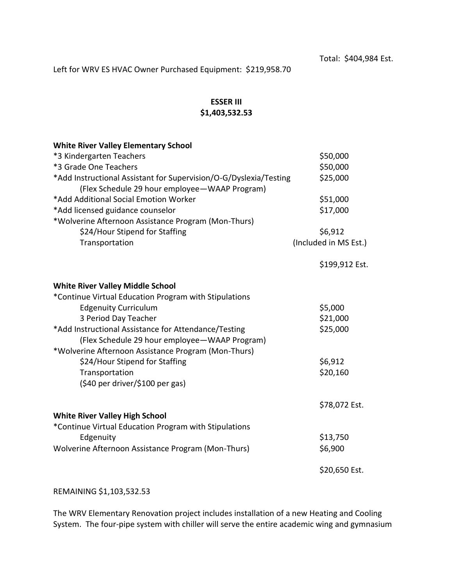Left for WRV ES HVAC Owner Purchased Equipment: \$219,958.70

## **ESSER III \$1,403,532.53**

| <b>White River Valley Elementary School</b>                       |                       |
|-------------------------------------------------------------------|-----------------------|
| *3 Kindergarten Teachers                                          | \$50,000              |
| *3 Grade One Teachers                                             | \$50,000              |
| *Add Instructional Assistant for Supervision/O-G/Dyslexia/Testing | \$25,000              |
| (Flex Schedule 29 hour employee - WAAP Program)                   |                       |
| *Add Additional Social Emotion Worker                             | \$51,000              |
| *Add licensed guidance counselor                                  | \$17,000              |
| *Wolverine Afternoon Assistance Program (Mon-Thurs)               |                       |
| \$24/Hour Stipend for Staffing                                    | \$6,912               |
| Transportation                                                    | (Included in MS Est.) |
|                                                                   |                       |
|                                                                   | \$199,912 Est.        |
|                                                                   |                       |
| <b>White River Valley Middle School</b>                           |                       |
| *Continue Virtual Education Program with Stipulations             |                       |
| <b>Edgenuity Curriculum</b>                                       | \$5,000               |
| 3 Period Day Teacher                                              | \$21,000              |
| *Add Instructional Assistance for Attendance/Testing              | \$25,000              |
| (Flex Schedule 29 hour employee - WAAP Program)                   |                       |
| *Wolverine Afternoon Assistance Program (Mon-Thurs)               |                       |
| \$24/Hour Stipend for Staffing                                    | \$6,912               |
| Transportation                                                    | \$20,160              |
| (\$40 per driver/\$100 per gas)                                   |                       |
|                                                                   |                       |
|                                                                   | \$78,072 Est.         |
| <b>White River Valley High School</b>                             |                       |
| *Continue Virtual Education Program with Stipulations             |                       |
| Edgenuity                                                         | \$13,750              |
| Wolverine Afternoon Assistance Program (Mon-Thurs)                | \$6,900               |
|                                                                   | \$20,650 Est.         |

REMAINING \$1,103,532.53

The WRV Elementary Renovation project includes installation of a new Heating and Cooling System. The four-pipe system with chiller will serve the entire academic wing and gymnasium